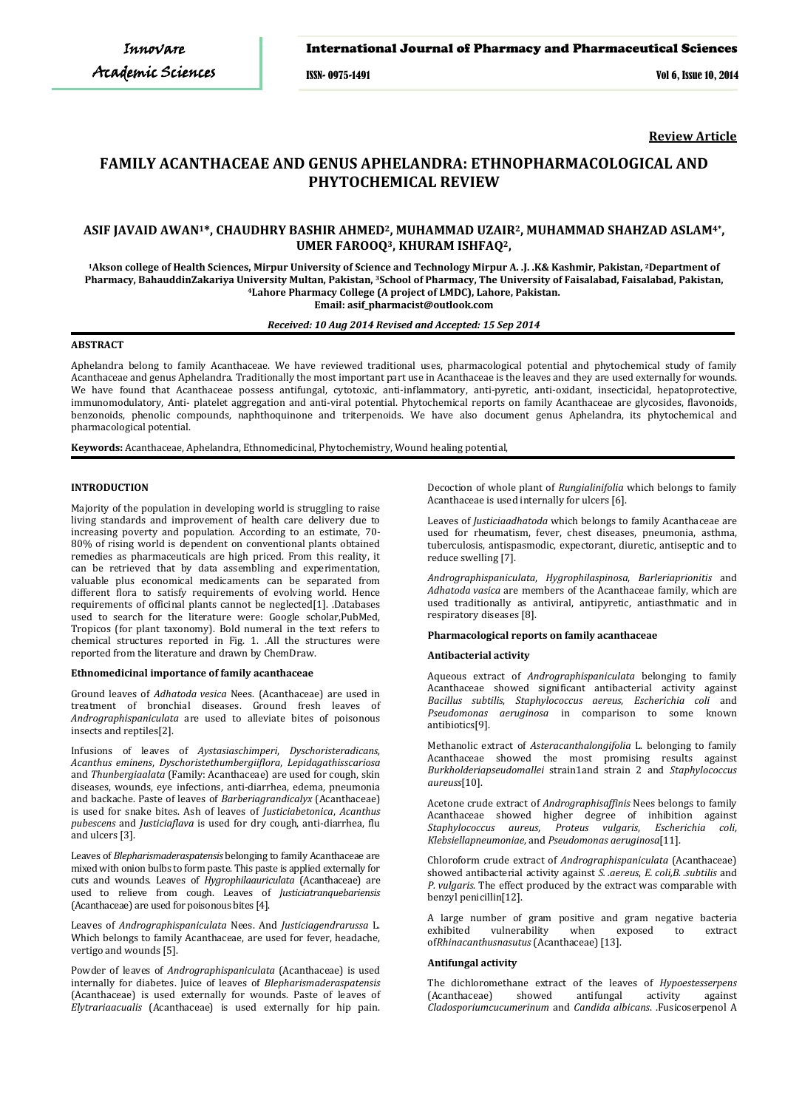# International Journal of Pharmacy and Pharmaceutical Sciences

ISSN- 0975-1491 Vol 6, Issue 10, 2014

**Review Article**

# **FAMILY ACANTHACEAE AND GENUS APHELANDRA: ETHNOPHARMACOLOGICAL AND PHYTOCHEMICAL REVIEW**

# **ASIF JAVAID AWAN1\*, CHAUDHRY BASHIR AHMED2, MUHAMMAD UZAIR2, MUHAMMAD SHAHZAD ASLAM4\*, UMER FAROOQ3, KHURAM ISHFAQ2,**

**1Akson college of Health Sciences, Mirpur University of Science and Technology Mirpur A. .J. .K& Kashmir, Pakistan, 2Department of Pharmacy, BahauddinZakariya University Multan, Pakistan, 3School of Pharmacy, The University of Faisalabad, Faisalabad, Pakistan, 4Lahore Pharmacy College (A project of LMDC), Lahore, Pakistan. Email: asif\_pharmacist@outlook.com**

#### *Received: 10 Aug 2014 Revised and Accepted: 15 Sep 2014*

# **ABSTRACT**

Aphelandra belong to family Acanthaceae. We have reviewed traditional uses, pharmacological potential and phytochemical study of family Acanthaceae and genus Aphelandra. Traditionally the most important part use in Acanthaceae is the leaves and they are used externally for wounds. We have found that Acanthaceae possess antifungal, cytotoxic, anti-inflammatory, anti-pyretic, anti-oxidant, insecticidal, hepatoprotective, immunomodulatory, Anti- platelet aggregation and anti-viral potential. Phytochemical reports on family Acanthaceae are glycosides, flavonoids, benzonoids, phenolic compounds, naphthoquinone and triterpenoids. We have also document genus Aphelandra, its phytochemical and pharmacological potential.

**Keywords:** Acanthaceae, Aphelandra, Ethnomedicinal, Phytochemistry, Wound healing potential,

# **INTRODUCTION**

Majority of the population in developing world is struggling to raise living standards and improvement of health care delivery due to increasing poverty and population. According to an estimate, 70- 80% of rising world is dependent on conventional plants obtained remedies as pharmaceuticals are high priced. From this reality, it can be retrieved that by data assembling and experimentation, valuable plus economical medicaments can be separated from different flora to satisfy requirements of evolving world. Hence requirements of officinal plants cannot be neglected[1]. .Databases used to search for the literature were: Google scholar,PubMed, Tropicos (for plant taxonomy). Bold numeral in the text refers to chemical structures reported in Fig. 1. .All the structures were reported from the literature and drawn by ChemDraw.

#### **Ethnomedicinal importance of family acanthaceae**

Ground leaves of *Adhatoda vesica* Nees. (Acanthaceae) are used in treatment of bronchial diseases. Ground fresh leaves of *Andrographispaniculata* are used to alleviate bites of poisonous insects and reptiles[2].

Infusions of leaves of *Aystasiaschimperi*, *Dyschoristeradicans*, *Acanthus eminens*, *Dyschoristethumbergiiflora*, *Lepidagathisscariosa* and *Thunbergiaalata* (Family: Acanthaceae) are used for cough, skin diseases, wounds, eye infections, anti-diarrhea, edema, pneumonia and backache. Paste of leaves of *Barberiagrandicalyx* (Acanthaceae) is used for snake bites. Ash of leaves of *Justiciabetonica*, *Acanthus pubescens* and *Justiciaflava* is used for dry cough, anti-diarrhea, flu and ulcers [3].

Leaves of *Blepharismaderaspatensis* belonging to family Acanthaceae are mixed with onion bulbs to form paste. This paste is applied externally for cuts and wounds. Leaves of *Hygrophilaauriculata* (Acanthaceae) are used to relieve from cough. Leaves of *Justiciatranquebariensis* (Acanthaceae) are used for poisonous bites [4].

Leaves of *Andrographispaniculata* Nees. And *Justiciagendrarussa* L. Which belongs to family Acanthaceae, are used for fever, headache, vertigo and wounds [5].

Powder of leaves of *Andrographispaniculata* (Acanthaceae) is used internally for diabetes. Juice of leaves of *Blepharismaderaspatensis* (Acanthaceae) is used externally for wounds. Paste of leaves of *Elytrariaacualis* (Acanthaceae) is used externally for hip pain. Decoction of whole plant of *Rungialinifolia* which belongs to family Acanthaceae is used internally for ulcers [6].

Leaves of *Justiciaadhatoda* which belongs to family Acanthaceae are used for rheumatism, fever, chest diseases, pneumonia, asthma, tuberculosis, antispasmodic, expectorant, diuretic, antiseptic and to reduce swelling [7].

*Andrographispaniculata*, *Hygrophilaspinosa*, *Barleriaprionitis* and *Adhatoda vasica* are members of the Acanthaceae family, which are used traditionally as antiviral, antipyretic, antiasthmatic and in respiratory diseases [8].

# **Pharmacological reports on family acanthaceae**

#### **Antibacterial activity**

Aqueous extract of *Andrographispaniculata* belonging to family Acanthaceae showed significant antibacterial activity against *Bacillus subtilis*, *Staphylococcus aereus*, *Escherichia coli* and *Pseudomonas aeruginosa* in comparison to some known antibiotics[9].

Methanolic extract of *Asteracanthalongifolia* L. belonging to family Acanthaceae showed the most promising results against *Burkholderiapseudomallei* strain1and strain 2 and *Staphylococcus aureuss*[10].

Acetone crude extract of *Andrographisaffinis* Nees belongs to family Acanthaceae showed higher degree of inhibition against Staphylococcus aureus, Proteus vulgaris, Escherichia coli, *Staphylococcus aureus*, *Proteus vulgaris*, *Klebsiellapneumoniae*, and *Pseudomonas aeruginosa*[11].

Chloroform crude extract of *Andrographispaniculata* (Acanthaceae) showed antibacterial activity against *S. .aereus*, *E. coli,B. .subtilis* and *P. vulgaris*. The effect produced by the extract was comparable with benzyl penicillin[12].

A large number of gram positive and gram negative bacteria<br>exhibited vulnerability when exposed to extract exhibited vulnerability when exposed to extract of*Rhinacanthusnasutus* (Acanthaceae) [13].

#### **Antifungal activity**

The dichloromethane extract of the leaves of *Hypoestesserpens* antifungal activity against *Cladosporiumcucumerinum* and *Candida albicans*. .Fusicoserpenol A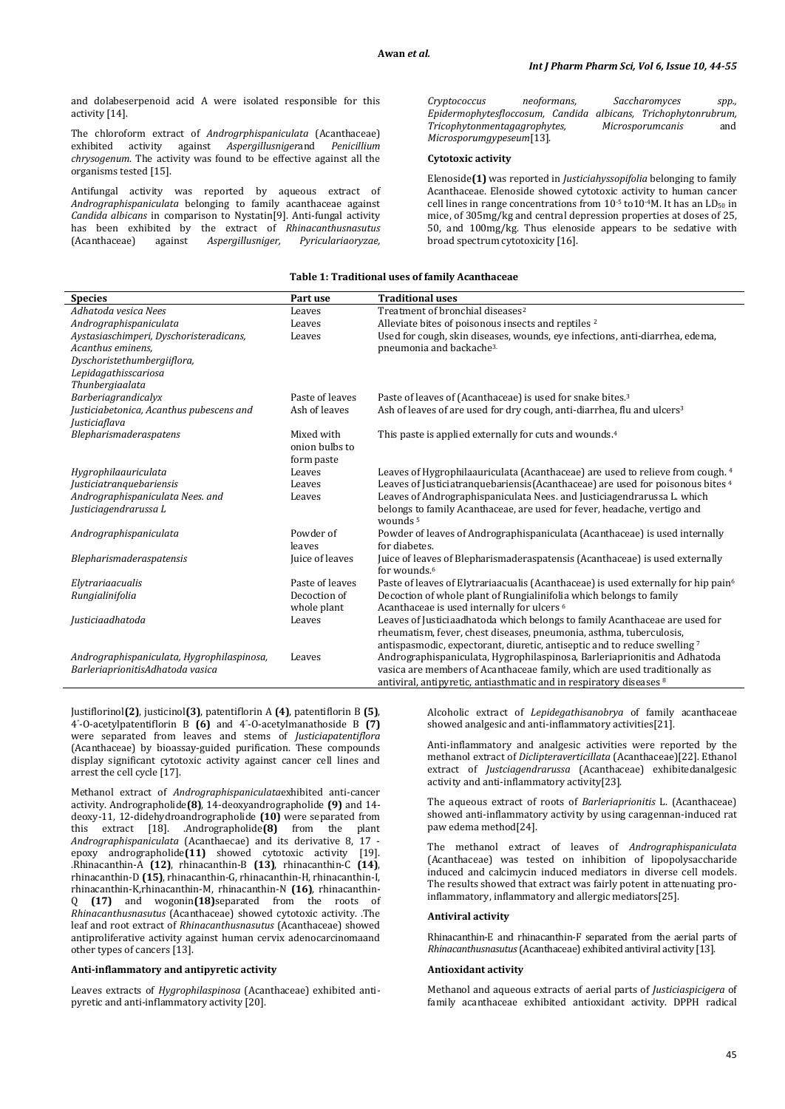and dolabeserpenoid acid A were isolated responsible for this activity [14].

The chloroform extract of *Androgrphispaniculata* (Acanthaceae) exhibited activity against *Aspergillusniger*and *Penicillium chrysogenum*. The activity was found to be effective against all the organisms tested [15].

Antifungal activity was reported by aqueous extract of *Andrographispaniculata* belonging to family acanthaceae against *Candida albicans* in comparison to Nystatin[9]. Anti-fungal activity has been exhibited by the extract of *Rhinacanthusnasutus* (Acanthaceae) against *Aspergillusniger, Pyriculariaoryzae,*  *Cryptococcus neoformans, Saccharomyces spp., Epidermophytesfloccosum, Candida albicans, Trichophytonrubrum, Tricophytonmentagagrophytes, Microsporumcanis* and *Microsporumgypeseum*[13].

### **Cytotoxic activity**

Elenoside**(1)** was reported in *Justiciahyssopifolia* belonging to family Acanthaceae. Elenoside showed cytotoxic activity to human cancer cell lines in range concentrations from  $10^{-5}$  to  $10^{-4}$ M. It has an LD<sub>50</sub> in mice, of 305mg/kg and central depression properties at doses of 25, 50, and 100mg/kg. Thus elenoside appears to be sedative with broad spectrum cytotoxicity [16].

#### **Table 1: Traditional uses of family Acanthaceae**

| <b>Species</b>                             | Part use        | <b>Traditional uses</b>                                                                                                                            |
|--------------------------------------------|-----------------|----------------------------------------------------------------------------------------------------------------------------------------------------|
| Adhatoda vesica Nees                       | Leaves          | Treatment of bronchial diseases <sup>2</sup>                                                                                                       |
| Andrographispaniculata                     | Leaves          | Alleviate bites of poisonous insects and reptiles <sup>2</sup>                                                                                     |
| Aystasiaschimperi, Dyschoristeradicans,    | Leaves          | Used for cough, skin diseases, wounds, eye infections, anti-diarrhea, edema,                                                                       |
| Acanthus eminens,                          |                 | pneumonia and backache <sup>3.</sup>                                                                                                               |
| Dyschoristethumbergiiflora,                |                 |                                                                                                                                                    |
| Lepidagathisscariosa                       |                 |                                                                                                                                                    |
| Thunbergiaalata                            |                 |                                                                                                                                                    |
| Barberiagrandicalyx                        | Paste of leaves | Paste of leaves of (Acanthaceae) is used for snake bites. <sup>3</sup>                                                                             |
| Justiciabetonica, Acanthus pubescens and   | Ash of leaves   | Ash of leaves of are used for dry cough, anti-diarrhea, flu and ulcers <sup>3</sup>                                                                |
| <i>Justiciaflava</i>                       |                 |                                                                                                                                                    |
| Blepharismaderaspatens                     | Mixed with      | This paste is applied externally for cuts and wounds. <sup>4</sup>                                                                                 |
|                                            | onion bulbs to  |                                                                                                                                                    |
|                                            | form paste      |                                                                                                                                                    |
| Hygrophilaauriculata                       | Leaves          | Leaves of Hygrophilaauriculata (Acanthaceae) are used to relieve from cough. 4                                                                     |
| <i>Justiciatranquebariensis</i>            | Leaves          | Leaves of Justiciatranguebariensis (Acanthaceae) are used for poisonous bites 4                                                                    |
| Andrographispaniculata Nees. and           | Leaves          | Leaves of Andrographispaniculata Nees. and Justiciagendrarussa L. which                                                                            |
| Justiciagendrarussa L                      |                 | belongs to family Acanthaceae, are used for fever, headache, vertigo and                                                                           |
|                                            |                 | wounds <sup>5</sup>                                                                                                                                |
| Andrographispaniculata                     | Powder of       | Powder of leaves of Andrographispaniculata (Acanthaceae) is used internally                                                                        |
|                                            | leaves          | for diabetes.                                                                                                                                      |
| Blepharismaderaspatensis                   | Juice of leaves | Juice of leaves of Blepharismaderaspatensis (Acanthaceae) is used externally                                                                       |
|                                            |                 | for wounds. <sup>6</sup>                                                                                                                           |
| Elytrariaacualis                           | Paste of leaves | Paste of leaves of Elytrariaacualis (Acanthaceae) is used externally for hip pain <sup>6</sup>                                                     |
| Rungialinifolia                            | Decoction of    | Decoction of whole plant of Rungialinifolia which belongs to family                                                                                |
|                                            | whole plant     | Acanthaceae is used internally for ulcers <sup>6</sup>                                                                                             |
| Justiciaadhatoda                           | Leaves          | Leaves of Justiciaadhatoda which belongs to family Acanthaceae are used for<br>rheumatism, fever, chest diseases, pneumonia, asthma, tuberculosis, |
|                                            |                 |                                                                                                                                                    |
|                                            |                 | antispasmodic, expectorant, diuretic, antiseptic and to reduce swelling <sup>7</sup>                                                               |
| Andrographispaniculata, Hygrophilaspinosa, | Leaves          | Andrographispaniculata, Hygrophilaspinosa, Barleriaprionitis and Adhatoda                                                                          |
| BarleriaprionitisAdhatoda vasica           |                 | vasica are members of Acanthaceae family, which are used traditionally as                                                                          |
|                                            |                 | antiviral, antipyretic, antiasthmatic and in respiratory diseases 8                                                                                |

Justiflorinol**(2)**, justicinol**(3)**, patentiflorin A **(4)**, patentiflorin B **(5)**, 4" -O-acetylpatentiflorin B **(6)** and 4" -O-acetylmanathoside B **(7)** were separated from leaves and stems of *Justiciapatentiflora* (Acanthaceae) by bioassay-guided purification. These compounds display significant cytotoxic activity against cancer cell lines and arrest the cell cycle [17].

Methanol extract of *Andrographispaniculata*exhibited anti-cancer activity. Andrographolide**(8)**, 14-deoxyandrographolide **(9)** and 14 deoxy-11, 12-didehydroandrographolide **(10)** were separated from this extract [18]. .Andrographolide**(8)** from the plant *Andrographispaniculata* (Acanthaecae) and its derivative 8, 17 epoxy andrographolide**(11)** showed cytotoxic activity [19]. .Rhinacanthin-A **(12)**, rhinacanthin-B **(13)**, rhinacanthin-C **(14)**, rhinacanthin-D **(15)**, rhinacanthin-G, rhinacanthin-H, rhinacanthin-I, rhinacanthin-K,rhinacanthin-M, rhinacanthin-N **(16)**, rhinacanthin-Q **(17)** and wogonin**(18)**separated from the roots of *Rhinacanthusnasutus* (Acanthaceae) showed cytotoxic activity. .The leaf and root extract of *Rhinacanthusnasutus* (Acanthaceae) showed antiproliferative activity against human cervix adenocarcinomaand other types of cancers [13].

#### **Anti-inflammatory and antipyretic activity**

Leaves extracts of *Hygrophilaspinosa* (Acanthaceae) exhibited antipyretic and anti-inflammatory activity [20].

Alcoholic extract of *Lepidegathisanobrya* of family acanthaceae showed analgesic and anti-inflammatory activities[21].

Anti-inflammatory and analgesic activities were reported by the methanol extract of *Diclipteraverticillata* (Acanthaceae)[22]. Ethanol extract of *Justciagendrarussa* (Acanthaceae) exhibitedanalgesic activity and anti-inflammatory activity[23].

The aqueous extract of roots of *Barleriaprionitis* L. (Acanthaceae) showed anti-inflammatory activity by using caragennan-induced rat paw edema method[24].

The methanol extract of leaves of *Andrographispaniculata* (Acanthaceae) was tested on inhibition of lipopolysaccharide induced and calcimycin induced mediators in diverse cell models. The results showed that extract was fairly potent in attenuating proinflammatory, inflammatory and allergic mediators[25].

### **Antiviral activity**

Rhinacanthin-E and rhinacanthin-F separated from the aerial parts of *Rhinacanthusnasutus*(Acanthaceae) exhibited antiviral activity [13].

#### **Antioxidant activity**

Methanol and aqueous extracts of aerial parts of *Justiciaspicigera* of family acanthaceae exhibited antioxidant activity. DPPH radical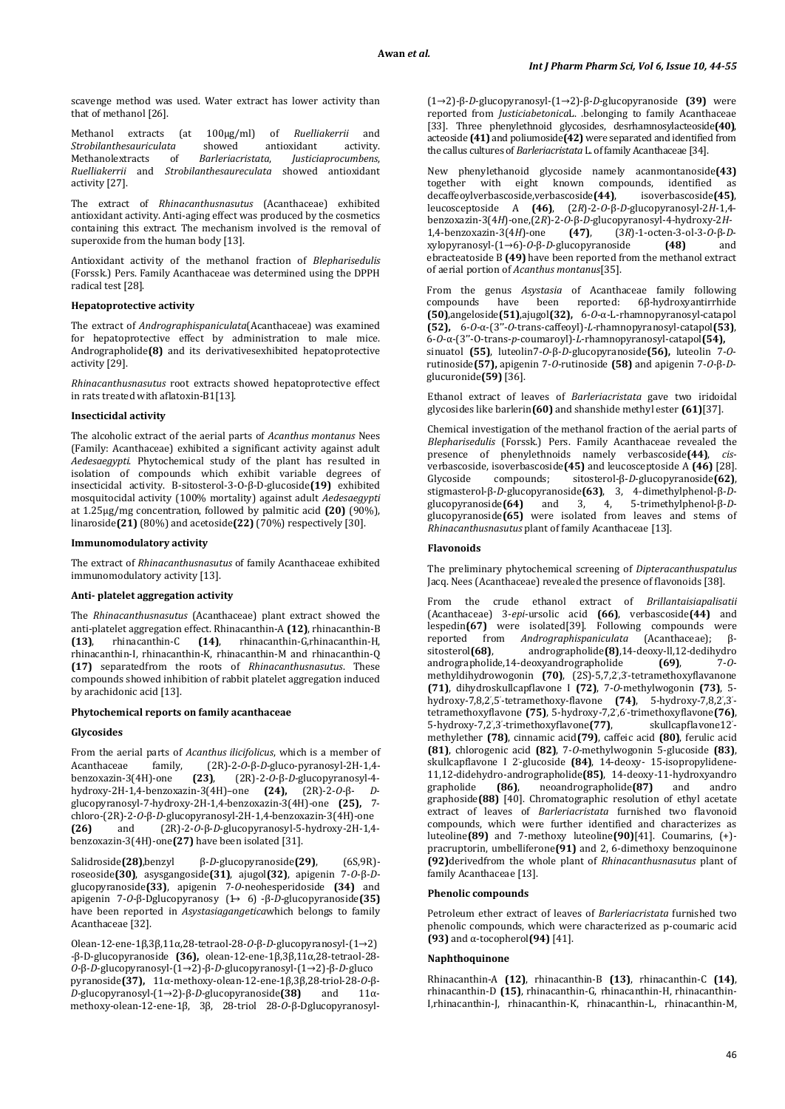scavenge method was used. Water extract has lower activity than that of methanol [26].

Methanol extracts (at 100µg/ml) of *Ruelliakerrii* and *Strobilanthesauriculata* showed antioxidant activity. *Strobilanthesauriculata* showed an<br>
Methanolextracts of *Barleriacristata*, Methanolextracts of *Barleriacristata*, *Justiciaprocumbens*, *Ruelliakerrii* and *Strobilanthesaureculata* activity [27].

The extract of *Rhinacanthusnasutus* (Acanthaceae) exhibited antioxidant activity. Anti-aging effect was produced by the cosmetics containing this extract. The mechanism involved is the removal of superoxide from the human body [13].

Antioxidant activity of the methanol fraction of *Blepharisedulis* (Forssk.) Pers. Family Acanthaceae was determined using the DPPH radical test [28].

### **Hepatoprotective activity**

The extract of *Andrographispaniculata*(Acanthaceae) was examined for hepatoprotective effect by administration to male mice. Andrographolide**(8)** and its derivativesexhibited hepatoprotective activity [29].

*Rhinacanthusnasutus* root extracts showed hepatoprotective effect in rats treated with aflatoxin-B1[13].

#### **Insecticidal activity**

The alcoholic extract of the aerial parts of *Acanthus montanus* Nees (Family: Acanthaceae) exhibited a significant activity against adult *Aedesaegypti*. Phytochemical study of the plant has resulted in isolation of compounds which exhibit variable degrees of insecticidal activity. Β-sitosterol-3-O-β-D-glucoside**(19)** exhibited mosquitocidal activity (100% mortality) against adult *Aedesaegypti* at 1.25µg/mg concentration, followed by palmitic acid **(20)** (90%), linaroside**(21)** (80%) and acetoside**(22)** (70%) respectively [30].

#### **Immunomodulatory activity**

The extract of *Rhinacanthusnasutus* of family Acanthaceae exhibited immunomodulatory activity [13].

# **Anti- platelet aggregation activity**

The *Rhinacanthusnasutus* (Acanthaceae) plant extract showed the anti-platelet aggregation effect. Rhinacanthin-A **(12)**, rhinacanthin-B **(13)**, rhinacanthin-C **(14)**, rhinacanthin-G,rhinacanthin-H, rhinacanthin-I, rhinacanthin-K, rhinacanthin-M and rhinacanthin-Q **(17)** separatedfrom the roots of *Rhinacanthusnasutus*. These compounds showed inhibition of rabbit platelet aggregation induced by arachidonic acid [13].

#### **Phytochemical reports on family acanthaceae**

#### **Glycosides**

From the aerial parts of *Acanthus ilicifolicus*, which is a member of *Acanthaceae* family, (2R)-2-0- $\beta$ -D-gluco-pyranosyl-2H-1,4-Acanthaceae family, (2R)-2-*O*-β-*D*-gluco-pyranosyl-2H-1,4 benzoxazin-3(4H)-one **(23)**, (2R)-2-*O*-β-*D*-glucopyranosyl-4 hydroxy-2H-1,4-benzoxazin-3(4H)–one **(24),** (2R)-2-*O*-β- *D*glucopyranosyl-7-hydroxy-2H-1,4-benzoxazin-3(4H)-one **(25),** 7 chloro-(2R)-2-*O*-β-*D*-glucopyranosyl-2H-1,4-benzoxazin-3(4H)-one **(26)** and (2R)-2-*O*-β-*D*-glucopyranosyl-5-hydroxy-2H-1,4 benzoxazin-3(4H)-one**(27)** have been isolated [31].

Salidroside**(28)**,benzyl β-*D*-glucopyranoside**(29)**, (6S,9R) roseoside**(30)**, asysgangoside**(31)**, ajugol**(32)**, apigenin 7-*O*-β-*D*glucopyranoside**(33)**, apigenin 7-*O*-neohesperidoside **(34)** and apigenin 7-*O*-β-Dglucopyranosy (1→ 6) -β-*D*-glucopyranoside**(35)** have been reported in *Asystasiagangetica*which belongs to family Acanthaceae [32].

Olean-12-ene-1β,3β,11α,28-tetraol-28-*O*-β-*D*-glucopyranosyl-(1→2) -β-D-glucopyranoside **(36),** olean-12-ene-1β,3β,11α,28-tetraol-28- *O*-β-*D*-glucopyranosyl-(1→2)-β-*D*-glucopyranosyl-(1→2)-β-*D*-gluco pyranoside**(37),** 11α-methoxy-olean-12-ene-1β,3β,28-triol-28-*O*-β-*D*-glucopyranosyl-(1→2)-β-*D*-glucopyranoside(38) methoxy-olean-12-ene-1β, 3β, 28-triol 28-*O*-β-Dglucopyranosyl(1→2)-β-*D*-glucopyranosyl-(1→2)-β-*D*-glucopyranoside **(39)** were reported from *Justiciabetonica*L. .belonging to family Acanthaceae [33]. Three phenylethnoid glycosides, desrhamnosylacteoside**(40)**, acteoside **(41)** and poliumoside**(42)** were separated and identified from the callus cultures of *Barleriacristata* L. of family Acanthaceae [34].

New phenylethanoid glycoside namely acanmontanoside**(43)** together with eight known compounds, identified as decaffeoylverbascoside, verbascoside(44), isoverbascoside(45), decaffeoylverbascoside,verbascoside<sup>[44]</sup>, leucosceptoside A **(46)**, (2*R*)-2-*O*-β-*D*-glucopyranosyl-2*H*-1,4 benzoxazin-3(4*H*)-one,(2*R*)-2-*O*-β-*D*-glucopyranosyl-4-hydroxy-2*H*-1,4-benzoxazin-3(4*H*)-one **(47)**, (3*R*)-1-octen-3-ol-3-*O*-β-*D*xylopyranosyl-(1→6)-*O*-β-*D*-glucopyranoside ebracteatoside B **(49)** have been reported from the methanol extract of aerial portion of *Acanthus montanus*[35].

From the genus *Asystasia* of Acanthaceae family following compounds have been reported: 6 $\beta$ -hydroxyantirrhide compounds have been reported: 6β-hydroxyantirrhide **(50)**,angeloside**(51)**,ajugol**(32),** 6-*O*-α-L-rhamnopyranosyl-catapol **(52),** 6-*O*-α-(3''-*O*-trans-caffeoyl)-*L*-rhamnopyranosyl-catapol**(53)**, 6-*O*-α-(3''-O-trans-*p*-coumaroyl)-*L*-rhamnopyranosyl-catapol**(54),**  sinuatol **(55)**, luteolin7-*O*-β-*D*-glucopyranoside**(56),** luteolin 7-*O*rutinoside**(57),** apigenin 7-*O*-rutinoside **(58)** and apigenin 7-*O*-β-*D*glucuronide**(59)** [36].

Ethanol extract of leaves of *Barleriacristata* gave two iridoidal glycosides like barlerin**(60)** and shanshide methyl ester **(61)**[37].

Chemical investigation of the methanol fraction of the aerial parts of *Blepharisedulis* (Forssk.) Pers. Family Acanthaceae revealed the presence of phenylethnoids namely verbascoside**(44)**, *cis*verbascoside, isoverbascoside**(45)** and leucosceptoside A **(46)** [28].<br>Glycoside compounds: sitosterol-B-D-gluconyranoside**(62)**. Glycoside compounds; sitosterol-β-*D*-glucopyranoside**(62)**, stigmasterol-β-*D*-glucopyranoside**(63)**, 3, 4-dimethylphenol-β-*D*glucopyranoside**(64)** and 3, 4, 5-trimethylphenol-β-*D*glucopyranoside**(65)** were isolated from leaves and stems of *Rhinacanthusnasutus* plant of family Acanthaceae [13].

#### **Flavonoids**

The preliminary phytochemical screening of *Dipteracanthuspatulus* Jacq. Nees (Acanthaceae) revealed the presence of flavonoids [38].

From the crude ethanol extract of *Brillantaisiapalisatii* (Acanthaceae) 3-*epi*-ursolic acid **(66)**, verbascoside**(44)** and lespedin(67) were isolated<sup>[39]</sup>. Following compounds were reported from *Andrographispaniculata* (Acanthaceae); βreported from *Andrographispaniculata*<br>sitosterol(68), andrographolide(8),14andrographolide(8), 14-deoxy-ll, 12-dedihydro<br>leoxyandrographolide (69), 7-0andrographolide,14-deoxyandrographolide **(69)**, 7-*O*methyldihydrowogonin **(70)**, (2S)-5,7,2' ,3' -tetramethoxyflavanone **(71)**, dihydroskullcapflavone I **(72)**, 7-*O*-methylwogonin **(73)**, 5 hydroxy-7,8,2',5'-tetramethoxy-flavone **(74)**, 5-hydroxy-7,8,2',3'tetramethoxyflavone **(75)**, 5-hydroxy-7,2' ,6' -trimethoxyflavone**(76)**, 5-hydroxy-7,2' ,3' -trimethoxyflavone**(77)**, skullcapflavone12' skullcapflavone12'methylether **(78)**, cinnamic acid**(79)**, caffeic acid **(80)**, ferulic acid **(81)**, chlorogenic acid **(82)**, 7-*O*-methylwogonin 5-glucoside **(83)**, skullcapflavone I 2' -glucoside **(84)**, 14-deoxy- 15-isopropylidene-11,12-didehydro-andrographolide**(85)**, 14-deoxy-11-hydroxyandro neoandrographolide<sup>(87)</sup> graphoside**(88)** [40]. Chromatographic resolution of ethyl acetate extract of leaves of *Barleriacristata* furnished two flavonoid compounds, which were further identified and characterizes as luteoline**(89)** and 7-methoxy luteoline**(90)**[41]. Coumarins, (+) pracruptorin, umbelliferone**(91)** and 2, 6-dimethoxy benzoquinone **(92)**derivedfrom the whole plant of *Rhinacanthusnasutus* plant of family Acanthaceae [13].

# **Phenolic compounds**

Petroleum ether extract of leaves of *Barleriacristata* furnished two phenolic compounds, which were characterized as p-coumaric acid **(93)** and α-tocopherol**(94)** [41].

#### **Naphthoquinone**

Rhinacanthin-A **(12)**, rhinacanthin-B **(13)**, rhinacanthin-C **(14)**, rhinacanthin-D **(15)**, rhinacanthin-G, rhinacanthin-H, rhinacanthin-I,rhinacanthin-J, rhinacanthin-K, rhinacanthin-L, rhinacanthin-M,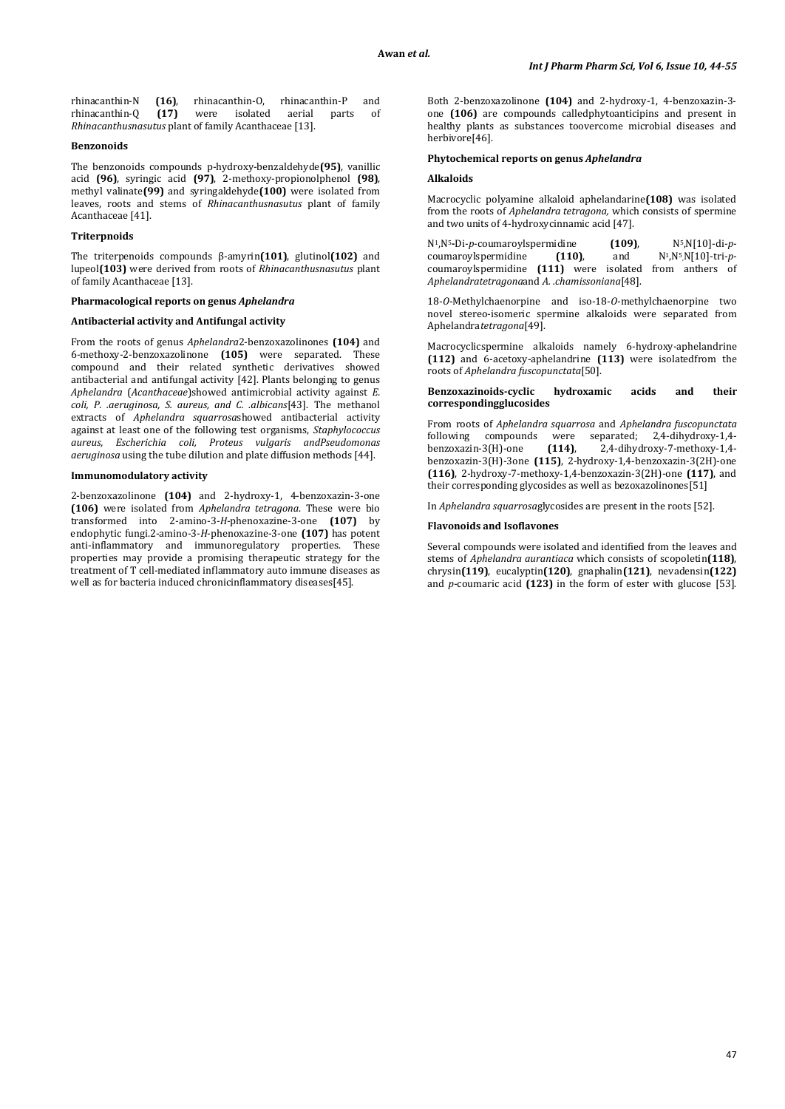rhinacanthin-N **(16)**, rhinacanthin-0, rhinacanthin-P and<br>rhinacanthin-0 **(17)** were isolated aerial parts of rhinacanthin-Q **(17)** were isolated aerial parts of *Rhinacanthusnasutus* plant of family Acanthaceae [13].

#### **Benzonoids**

The benzonoids compounds p-hydroxy-benzaldehyde**(95)**, vanillic acid **(96)**, syringic acid **(97)**, 2-methoxy-propionolphenol **(98)**, methyl valinate**(99)** and syringaldehyde**(100)** were isolated from leaves, roots and stems of *Rhinacanthusnasutus* plant of family Acanthaceae [41].

# **Triterpnoids**

The triterpenoids compounds β-amyrin**(101)**, glutinol**(102)** and lupeol**(103)** were derived from roots of *Rhinacanthusnasutus* plant of family Acanthaceae [13].

# **Pharmacological reports on genus** *Aphelandra*

#### **Antibacterial activity and Antifungal activity**

From the roots of genus *Aphelandra*2-benzoxazolinones **(104)** and 6-methoxy-2-benzoxazolinone **(105)** were separated. These compound and their related synthetic derivatives showed antibacterial and antifungal activity [42]. Plants belonging to genus *Aphelandra* (*Acanthaceae*)showed antimicrobial activity against *E. coli, P. .aeruginosa, S. aureus, and C. .albicans*[43]. The methanol extracts of *Aphelandra squarrosa*showed antibacterial activity against at least one of the following test organisms, *Staphylococcus aureus, Escherichia coli, Proteus vulgaris andPseudomonas aeruginosa* using the tube dilution and plate diffusion methods [44].

### **Immunomodulatory activity**

2-benzoxazolinone **(104)** and 2-hydroxy-1, 4-benzoxazin-3-one **(106)** were isolated from *Aphelandra tetragona*. These were bio transformed into 2-amino-3-*H*-phenoxazine-3-one **(107)** by endophytic fungi.2-amino-3-*H*-phenoxazine-3-one **(107)** has potent anti-inflammatory and immunoregulatory properties. These properties may provide a promising therapeutic strategy for the treatment of T cell-mediated inflammatory auto immune diseases as well as for bacteria induced chronicinflammatory diseases[45].

Both 2-benzoxazolinone **(104)** and 2-hydroxy-1, 4-benzoxazin-3 one **(106)** are compounds calledphytoanticipins and present in healthy plants as substances toovercome microbial diseases and herbivore[46].

### **Phytochemical reports on genus** *Aphelandra*

#### **Alkaloids**

Macrocyclic polyamine alkaloid aphelandarine**(108)** was isolated from the roots of *Aphelandra tetragona,* which consists of spermine and two units of 4-hydroxycinnamic acid [47].

N1,N5**-**Di-*p*-coumaroylspermidine **(109)**, N5,N[10]-di-*p*- $\alpha$  coumaroylspermidine coumaroylspermidine **(111)** were isolated from anthers of *Aphelandratetragona*and *A. .chamissoniana*[48].

18-*O*-Methylchaenorpine and iso-18-*O*-methylchaenorpine two novel stereo-isomeric spermine alkaloids were separated from Aphelandra*tetragona*[49].

Macrocyclicspermine alkaloids namely 6-hydroxy-aphelandrine **(112)** and 6-acetoxy-aphelandrine **(113)** were isolatedfrom the roots of *Aphelandra fuscopunctata*[50].

#### **Benzoxazinoids-cyclic hydroxamic acids and their correspondingglucosides**

From roots of *Aphelandra squarrosa* and *Aphelandra fuscopunctata* following compounds were<br>benzoxazin-3(H)-one  $(114)$ . benzoxazin-3(H)-one **(114)**, 2,4-dihydroxy-7-methoxy-1,4 benzoxazin-3(H)-3one **(115)**, 2-hydroxy-1,4-benzoxazin-3(2H)-one **(116)**, 2-hydroxy-7-methoxy-1,4-benzoxazin-3(2H)-one **(117)**, and their corresponding glycosides as well as bezoxazolinones[51]

In *Aphelandra squarrosa*glycosides are present in the roots [52].

# **Flavonoids and Isoflavones**

Several compounds were isolated and identified from the leaves and stems of *Aphelandra aurantiaca* which consists of scopoletin**(118)**, chrysin**(119)**, eucalyptin**(120)**, gnaphalin**(121)**, nevadensin**(122)** and *p*-coumaric acid **(123)** in the form of ester with glucose [53].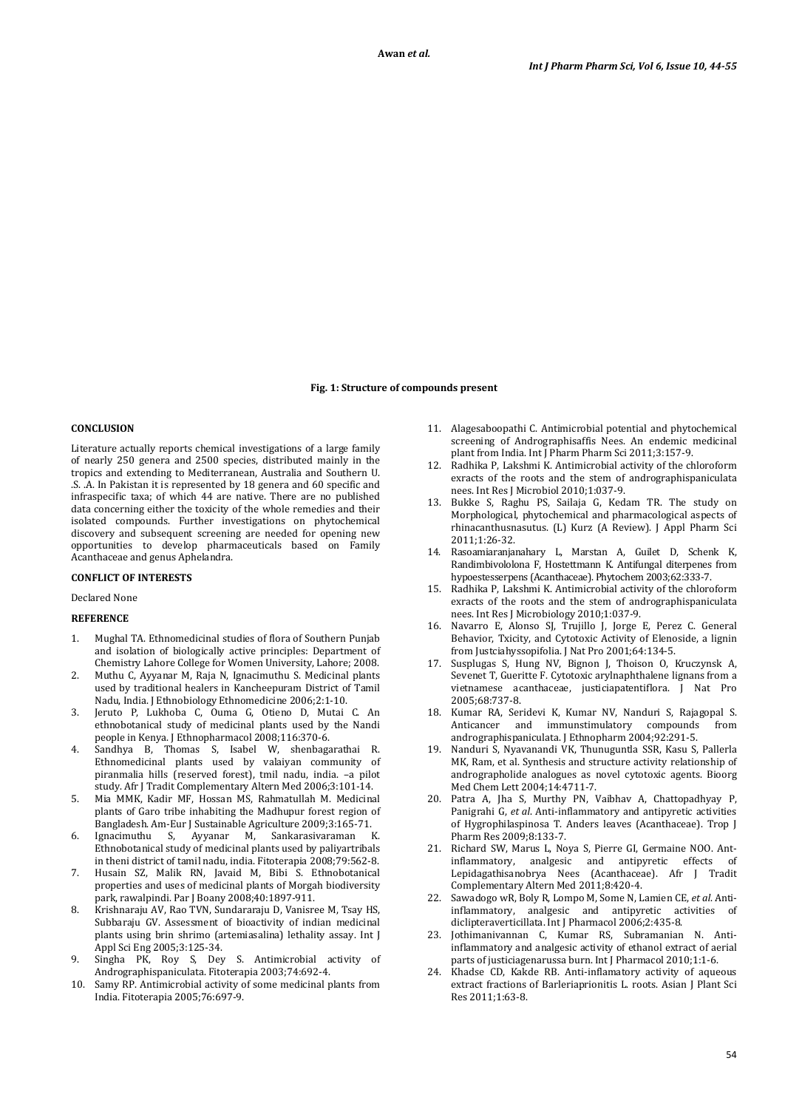### **Fig. 1: Structure of compounds present**

# **CONCLUSION**

Literature actually reports chemical investigations of a large family of nearly 250 genera and 2500 species, distributed mainly in the tropics and extending to Mediterranean, Australia and Southern U. .S. .A. In Pakistan it is represented by 18 genera and 60 specific and infraspecific taxa; of which 44 are native. There are no published data concerning either the toxicity of the whole remedies and their isolated compounds. Further investigations on phytochemical discovery and subsequent screening are needed for opening new opportunities to develop pharmaceuticals based on Family Acanthaceae and genus Aphelandra.

#### **CONFLICT OF INTERESTS**

#### Declared None

# **REFERENCE**

- 1. Mughal TA. Ethnomedicinal studies of flora of Southern Punjab and isolation of biologically active principles: Department of Chemistry Lahore College for Women University, Lahore; 2008.
- 2. Muthu C, Ayyanar M, Raja N, Ignacimuthu S. Medicinal plants used by traditional healers in Kancheepuram District of Tamil Nadu, India. J Ethnobiology Ethnomedicine 2006;2:1-10.
- 3. Jeruto P, Lukhoba C, Ouma G, Otieno D, Mutai C. An ethnobotanical study of medicinal plants used by the Nandi people in Kenya. J Ethnopharmacol 2008;116:370-6.
- Sandhya B, Thomas S, Isabel W, shenbagarathai Ethnomedicinal plants used by valaiyan community of piranmalia hills (reserved forest), tmil nadu, india. –a pilot study. Afr J Tradit Complementary Altern Med 2006;3:101-14.
- 5. Mia MMK, Kadir MF, Hossan MS, Rahmatullah M. Medicinal plants of Garo tribe inhabiting the Madhupur forest region of Bangladesh. Am-Eur J Sustainable Agriculture 2009;3:165-71.
- 6. Ignacimuthu S, Ayyanar M, Sankarasivaraman K. Ethnobotanical study of medicinal plants used by paliyartribals in theni district of tamil nadu, india. Fitoterapia 2008;79:562-8.
- 7. Husain SZ, Malik RN, Javaid M, Bibi S. Ethnobotanical properties and uses of medicinal plants of Morgah biodiversity park, rawalpindi. Par J Boany 2008;40:1897-911.
- 8. Krishnaraju AV, Rao TVN, Sundararaju D, Vanisree M, Tsay HS, Subbaraju GV. Assessment of bioactivity of indian medicinal plants using brin shrimo (artemiasalina) lethality assay. Int J Appl Sci Eng 2005;3:125-34.
- 9. Singha PK, Roy S, Dey S. Antimicrobial activity of Andrographispaniculata. Fitoterapia 2003;74:692-4.
- 10. Samy RP. Antimicrobial activity of some medicinal plants from India. Fitoterapia 2005;76:697-9.
- 11. Alagesaboopathi C. Antimicrobial potential and phytochemical screening of Andrographisaffis Nees. An endemic medicinal plant from India. Int J Pharm Pharm Sci 2011;3:157-9.
- 12. Radhika P, Lakshmi K. Antimicrobial activity of the chloroform exracts of the roots and the stem of andrographispaniculata nees. Int Res J Microbiol 2010;1:037-9.
- 13. Bukke S, Raghu PS, Sailaja G, Kedam TR. The study on Morphological, phytochemical and pharmacological aspects of rhinacanthusnasutus. (L) Kurz (A Review). J Appl Pharm Sci 2011;1:26-32.
- 14. Rasoamiaranjanahary L, Marstan A, Guilet D, Schenk K, Randimbivololona F, Hostettmann K. Antifungal diterpenes from hypoestesserpens (Acanthaceae). Phytochem 2003;62:333-7.
- 15. Radhika P, Lakshmi K. Antimicrobial activity of the chloroform exracts of the roots and the stem of andrographispaniculata nees. Int Res J Microbiology 2010;1:037-9.
- 16. Navarro E, Alonso SJ, Trujillo J, Jorge E, Perez C. General Behavior, Txicity, and Cytotoxic Activity of Elenoside, a lignin from Justciahyssopifolia. J Nat Pro 2001;64:134-5.
- 17. Susplugas S, Hung NV, Bignon J, Thoison O, Kruczynsk A, Sevenet T, Gueritte F. Cytotoxic arylnaphthalene lignans from a vietnamese acanthaceae, justiciapatentiflora. J Nat Pro 2005;68:737-8.
- 18. Kumar RA, Seridevi K, Kumar NV, Nanduri S, Rajagopal S. Anticancer and immunstimulatory compounds andrographispaniculata. J Ethnopharm 2004;92:291-5.
- 19. Nanduri S, Nyavanandi VK, Thunuguntla SSR, Kasu S, Pallerla MK, Ram, et al. Synthesis and structure activity relationship of andrographolide analogues as novel cytotoxic agents. Bioorg Med Chem Lett 2004;14:4711-7.
- 20. Patra A, Jha S, Murthy PN, Vaibhav A, Chattopadhyay P, Panigrahi G, *et al*. Anti-inflammatory and antipyretic activities of Hygrophilaspinosa T. Anders leaves (Acanthaceae). Trop J Pharm Res 2009;8:133-7.
- 21. Richard SW, Marus L, Noya S, Pierre GI, Germaine NOO. Antinflammatory, analgesic and antipyretic effects of Lepidagathisanobrya Nees (Acanthaceae). Afr J Tradit Complementary Altern Med 2011;8:420-4.
- 22. Sawadogo wR, Boly R, Lompo M, Some N, Lamien CE, *et al*. Antiinflammatory, analgesic and antipyretic activities of diclipteraverticillata. Int J Pharmacol 2006;2:435-8.
- 23. Jothimanivannan C, Kumar RS, Subramanian N. Antiinflammatory and analgesic activity of ethanol extract of aerial parts of justiciagenarussa burn. Int J Pharmacol 2010;1:1-6.
- Khadse CD, Kakde RB. Anti-inflamatory activity of aqueous extract fractions of Barleriaprionitis L. roots. Asian J Plant Sci Res 2011;1:63-8.